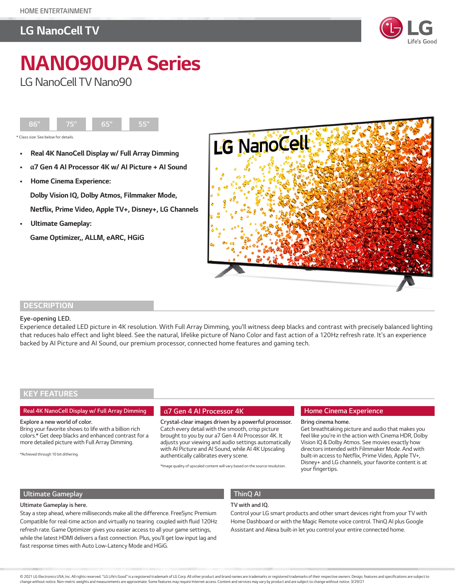# *LG NanoCell TV*



# *NANO90UPA Series LG NanoCell TV Nano90*



- *Real 4K NanoCell Display w/ Full Array Dimming*
- *•* **α***7 Gen 4 AI Processor 4K w/ AI Picture + AI Sound*
- *Home Cinema Experience:*

 *Dolby Vision IQ, Dolby Atmos, Filmmaker Mode,*   **Netflix, Prime Video, Apple TV+, Disney+, LG Channels**

*• Ultimate Gameplay:* 

 **Game Optimizer,, ALLM, eARC, HGiG** 



### *DESCRIPTION*

#### *Eye-opening LED.*

*Experience detailed LED picture in 4K resolution. With Full Array Dimming, you'll witness deep blacks and contrast with precisely balanced lighting that reduces halo effect and light bleed. See the natural, lifelike picture of Nano Color and fast action of a 120Hz refresh rate. It's an experience backed by AI Picture and AI Sound, our premium processor, connected home features and gaming tech.* 

## *KEY FEATURES*

#### *Real 4K NanoCell Display w/ Full Array Dimming*

#### *Explore a new world of color.*

*Bring your favorite shows to life with a billion rich colors.\* Get deep blacks and enhanced contrast for a more detailed picture with Full Array Dimming.* 

*\*Achieved through 10 bit dithering.* 

#### α*7 Gen 4 AI Processor 4K*

*Crystal-clear images driven by a powerful processor. Catch every detail with the smooth, crisp picture brought to you by our a7 Gen 4 AI Processor 4K. It adjusts your viewing and audio settings automatically*  with AI Picture and AI Sound, while AI 4K Upscaling *authentically calibrates every scene.*

*\*Image quality of upscaled content will vary based on the source resolution.*

#### *Home Cinema Experience*

#### *Bring cinema home.*

*Get breathtaking picture and audio that makes you feel like you're in the action with Cinema HDR, Dolby Vision IQ & Dolby Atmos. See movies exactly how directors intended with Filmmaker Mode. And with built-in access to Netflix, Prime Video, Apple TV+, Disney+ and LG channels, your favorite content is at your fingertips.*

### *Ultimate Gameplay*

#### *Ultimate Gameplay is here.*

*Stay a step ahead, where milliseconds make all the difference. FreeSync Premium Compatible for real-time action and virtually no tearing coupled with fluid 120Hz refresh rate. Game Optimizer gives you easier access to all your game settings, while the latest HDMI delivers a fast connection. Plus, you'll get low input lag and fast response times with Auto Low-Latency Mode and HGiG.* 

# *ThinQ AI*

## *TV with and IQ.*

*Control your LG smart products and other smart devices right from your TV with Home Dashboard or with the Magic Remote voice control. ThinQ AI plus Google Assistant and Alexa built-in let you control your entire connected home.*

change without notice. Non-metric weights and measurements are approximate. Some features may require Internet access. Content and services may vary by product and are subject to change without notice. 3/29/21 and the Subj @ 2021 LG Electronics USA, Inc. All rights reserved. "LG Life's Good" is a registered trademark of LG Corp. All other product and brand names are trademarks or registered trademarks of their respective owners. Design, feat